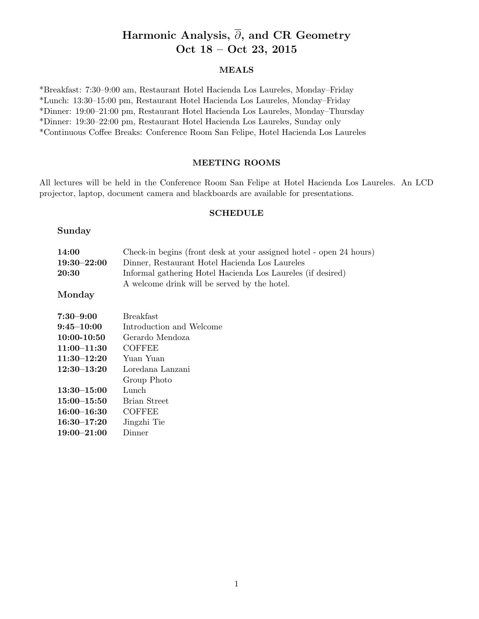# Harmonic Analysis,  $\overline{\partial}$ , and CR Geometry Oct 18 – Oct 23, 2015

## MEALS

\*Breakfast: 7:30–9:00 am, Restaurant Hotel Hacienda Los Laureles, Monday–Friday \*Lunch: 13:30–15:00 pm, Restaurant Hotel Hacienda Los Laureles, Monday–Friday \*Dinner: 19:00–21:00 pm, Restaurant Hotel Hacienda Los Laureles, Monday–Thursday \*Dinner: 19:30–22:00 pm, Restaurant Hotel Hacienda Los Laureles, Sunday only \*Continuous Coffee Breaks: Conference Room San Felipe, Hotel Hacienda Los Laureles

# MEETING ROOMS

All lectures will be held in the Conference Room San Felipe at Hotel Hacienda Los Laureles. An LCD projector, laptop, document camera and blackboards are available for presentations.

#### SCHEDULE

#### Sunday

| 14:00           | Check-in begins (front desk at your assigned hotel - open 24 hours) |  |
|-----------------|---------------------------------------------------------------------|--|
| $19:30 - 22:00$ | Dinner, Restaurant Hotel Hacienda Los Laureles                      |  |
| 20:30           | Informal gathering Hotel Hacienda Los Laureles (if desired)         |  |
|                 | A welcome drink will be served by the hotel.                        |  |

# Monday

| $7:30 - 9:00$   | <b>Breakfast</b>         |
|-----------------|--------------------------|
| $9:45 - 10:00$  | Introduction and Welcome |
| $10:00 - 10:50$ | Gerardo Mendoza          |
| $11:00-11:30$   | <b>COFFEE</b>            |
| $11:30-12:20$   | Yuan Yuan                |
| $12:30 - 13:20$ | Loredana Lanzani         |
|                 | Group Photo              |
| $13:30 - 15:00$ | Lunch                    |
| $15:00-15:50$   | Brian Street             |
| $16:00 - 16:30$ | <b>COFFEE</b>            |
| $16:30 - 17:20$ | Jingzhi Tie              |
| $19:00 - 21:00$ | Dinner                   |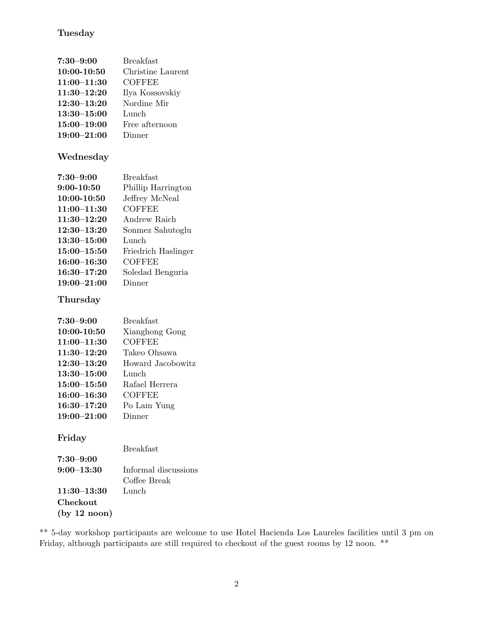# Tuesday

| $7:30 - 9:00$   | <b>Breakfast</b>  |
|-----------------|-------------------|
| 10:00-10:50     | Christine Laurent |
| $11:00 - 11:30$ | <b>COFFEE</b>     |
| $11:30 - 12:20$ | Ilya Kossovskiy   |
| $12:30 - 13:20$ | Nordine Mir       |
| $13:30 - 15:00$ | Lunch             |
| $15:00 - 19:00$ | Free afternoon    |
| $19:00 - 21:00$ | Dinner            |

# Wednesday

| $7:30 - 9:00$   | <b>Breakfast</b>    |
|-----------------|---------------------|
| $9:00-10:50$    | Phillip Harrington  |
| $10:00 - 10:50$ | Jeffrey McNeal      |
| $11:00 - 11:30$ | COFFEE              |
| $11:30 - 12:20$ | Andrew Raich        |
| $12:30 - 13:20$ | Sonmez Sahutoglu    |
| $13:30 - 15:00$ | Lunch               |
| $15:00 - 15:50$ | Friedrich Haslinger |
| $16:00 - 16:30$ | COFFEE              |
| $16:30 - 17:20$ | Soledad Benguria    |
| $19:00 - 21:00$ | Dinner              |

# **Thursday**

| $7:30 - 9:00$   | <b>Breakfast</b>  |
|-----------------|-------------------|
| 10:00-10:50     | Xianghong Gong    |
| $11:00 - 11:30$ | <b>COFFEE</b>     |
| $11:30 - 12:20$ | Takeo Ohsawa      |
| $12:30 - 13:20$ | Howard Jacobowitz |
| $13:30 - 15:00$ | Lunch             |
| $15:00 - 15:50$ | Rafael Herrera    |
| $16:00 - 16:30$ | <b>COFFEE</b>     |
| $16:30 - 17:20$ | Po Lam Yung       |
| $19:00 - 21:00$ | Dinner            |

# Friday

|              | <b>Breakfast</b>     |
|--------------|----------------------|
| 7:30–9:00    |                      |
| 9:00–13:30   | Informal discussions |
|              | Coffee Break         |
| 11:30–13:30  | Lunch                |
| Checkout     |                      |
| (by 12 noon) |                      |

\*\* 5-day workshop participants are welcome to use Hotel Hacienda Los Laureles facilities until 3 pm on Friday, although participants are still required to checkout of the guest rooms by 12 noon. \*\*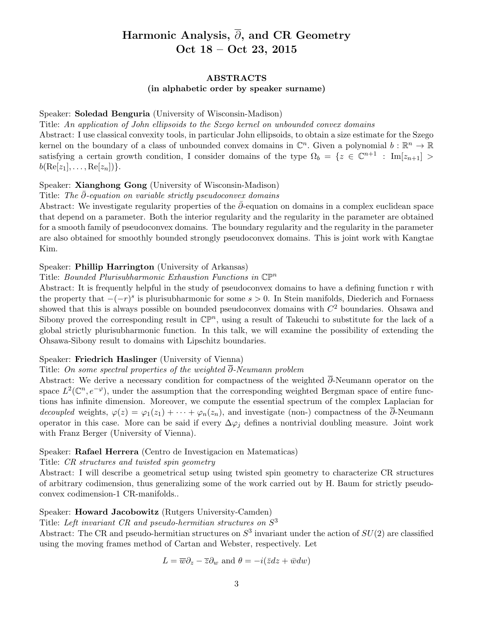# Harmonic Analysis,  $\overline{\partial}$ , and CR Geometry Oct 18 – Oct 23, 2015

#### ABSTRACTS

#### (in alphabetic order by speaker surname)

#### Speaker: Soledad Benguria (University of Wisconsin-Madison)

# Title: An application of John ellipsoids to the Szego kernel on unbounded convex domains

Abstract: I use classical convexity tools, in particular John ellipsoids, to obtain a size estimate for the Szego kernel on the boundary of a class of unbounded convex domains in  $\mathbb{C}^n$ . Given a polynomial  $b : \mathbb{R}^n \to \mathbb{R}$ satisfying a certain growth condition, I consider domains of the type  $\Omega_b = \{z \in \mathbb{C}^{n+1} : Im[z_{n+1}] >$  $b(\text{Re}[z_1], \ldots, \text{Re}[z_n])\}.$ 

#### Speaker: Xianghong Gong (University of Wisconsin-Madison)

#### Title: The  $\partial$ -equation on variable strictly pseudoconvex domains

Abstract: We investigate regularity properties of the  $\bar{\partial}$ -equation on domains in a complex euclidean space that depend on a parameter. Both the interior regularity and the regularity in the parameter are obtained for a smooth family of pseudoconvex domains. The boundary regularity and the regularity in the parameter are also obtained for smoothly bounded strongly pseudoconvex domains. This is joint work with Kangtae Kim.

#### Speaker: Phillip Harrington (University of Arkansas)

#### Title: Bounded Plurisubharmonic Exhaustion Functions in  $\mathbb{CP}^n$

Abstract: It is frequently helpful in the study of pseudoconvex domains to have a defining function r with the property that  $-(-r)^s$  is plurisubharmonic for some  $s > 0$ . In Stein manifolds, Diederich and Fornaess showed that this is always possible on bounded pseudoconvex domains with  $C<sup>2</sup>$  boundaries. Ohsawa and Sibony proved the corresponding result in  $\mathbb{CP}^n$ , using a result of Takeuchi to substitute for the lack of a global strictly plurisubharmonic function. In this talk, we will examine the possibility of extending the Ohsawa-Sibony result to domains with Lipschitz boundaries.

#### Speaker: Friedrich Haslinger (University of Vienna)

# Title: On some spectral properties of the weighted  $\overline{\partial}$ -Neumann problem

Abstract: We derive a necessary condition for compactness of the weighted  $\overline{\partial}$ -Neumann operator on the space  $L^2(\mathbb{C}^n, e^{-\varphi})$ , under the assumption that the corresponding weighted Bergman space of entire functions has infinite dimension. Moreover, we compute the essential spectrum of the complex Laplacian for decoupled weights,  $\varphi(z) = \varphi_1(z_1) + \cdots + \varphi_n(z_n)$ , and investigate (non-) compactness of the  $\partial$ -Neumann operator in this case. More can be said if every  $\Delta\varphi_i$  defines a nontrivial doubling measure. Joint work with Franz Berger (University of Vienna).

#### Speaker: Rafael Herrera (Centro de Investigacion en Matematicas)

Title: CR structures and twisted spin geometry

Abstract: I will describe a geometrical setup using twisted spin geometry to characterize CR structures of arbitrary codimension, thus generalizing some of the work carried out by H. Baum for strictly pseudoconvex codimension-1 CR-manifolds..

# Speaker: Howard Jacobowitz (Rutgers University-Camden)

Title: Left invariant CR and pseudo-hermitian structures on  $S^3$ 

Abstract: The CR and pseudo-hermitian structures on  $S^3$  invariant under the action of  $SU(2)$  are classified using the moving frames method of Cartan and Webster, respectively. Let

$$
L = \overline{w}\partial_z - \overline{z}\partial_w
$$
 and  $\theta = -i(\overline{z}dz + \overline{w}dw)$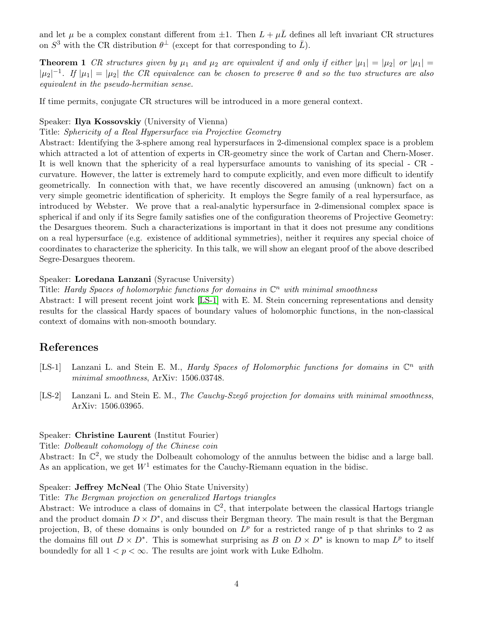and let  $\mu$  be a complex constant different from  $\pm 1$ . Then  $L + \mu \bar{L}$  defines all left invariant CR structures on  $S^3$  with the CR distribution  $\theta^{\perp}$  (except for that corresponding to  $\bar{L}$ ).

**Theorem 1** CR structures given by  $\mu_1$  and  $\mu_2$  are equivalent if and only if either  $|\mu_1| = |\mu_2|$  or  $|\mu_1| =$  $|\mu_2|^{-1}$ . If  $|\mu_1| = |\mu_2|$  the CR equivalence can be chosen to preserve  $\theta$  and so the two structures are also equivalent in the pseudo-hermitian sense.

If time permits, conjugate CR structures will be introduced in a more general context.

#### Speaker: Ilya Kossovskiy (University of Vienna)

Title: Sphericity of a Real Hypersurface via Projective Geometry

Abstract: Identifying the 3-sphere among real hypersurfaces in 2-dimensional complex space is a problem which attracted a lot of attention of experts in CR-geometry since the work of Cartan and Chern-Moser. It is well known that the sphericity of a real hypersurface amounts to vanishing of its special - CR curvature. However, the latter is extremely hard to compute explicitly, and even more difficult to identify geometrically. In connection with that, we have recently discovered an amusing (unknown) fact on a very simple geometric identification of sphericity. It employs the Segre family of a real hypersurface, as introduced by Webster. We prove that a real-analytic hypersurface in 2-dimensional complex space is spherical if and only if its Segre family satisfies one of the configuration theorems of Projective Geometry: the Desargues theorem. Such a characterizations is important in that it does not presume any conditions on a real hypersurface (e.g. existence of additional symmetries), neither it requires any special choice of coordinates to characterize the sphericity. In this talk, we will show an elegant proof of the above described Segre-Desargues theorem.

#### Speaker: Loredana Lanzani (Syracuse University)

Title: Hardy Spaces of holomorphic functions for domains in  $\mathbb{C}^n$  with minimal smoothness

Abstract: I will present recent joint work [\[LS-1\]](#page-3-0) with E. M. Stein concerning representations and density results for the classical Hardy spaces of boundary values of holomorphic functions, in the non-classical context of domains with non-smooth boundary.

# References

- <span id="page-3-0"></span>[LS-1] Lanzani L. and Stein E. M., *Hardy Spaces of Holomorphic functions for domains in*  $\mathbb{C}^n$  with minimal smoothness, ArXiv: 1506.03748.
- [LS-2] Lanzani L. and Stein E. M., The Cauchy-Szegő projection for domains with minimal smoothness, ArXiv: 1506.03965.

#### Speaker: Christine Laurent (Institut Fourier)

Title: Dolbeault cohomology of the Chinese coin

Abstract: In  $\mathbb{C}^2$ , we study the Dolbeault cohomology of the annulus between the bidisc and a large ball. As an application, we get  $W<sup>1</sup>$  estimates for the Cauchy-Riemann equation in the bidisc.

### Speaker: Jeffrey McNeal (The Ohio State University)

Title: The Bergman projection on generalized Hartogs triangles

Abstract: We introduce a class of domains in  $\mathbb{C}^2$ , that interpolate between the classical Hartogs triangle and the product domain  $D \times D^*$ , and discuss their Bergman theory. The main result is that the Bergman projection, B, of these domains is only bounded on  $L^p$  for a restricted range of p that shrinks to 2 as the domains fill out  $D \times D^*$ . This is somewhat surprising as B on  $D \times D^*$  is known to map  $L^p$  to itself boundedly for all  $1 < p < \infty$ . The results are joint work with Luke Edholm.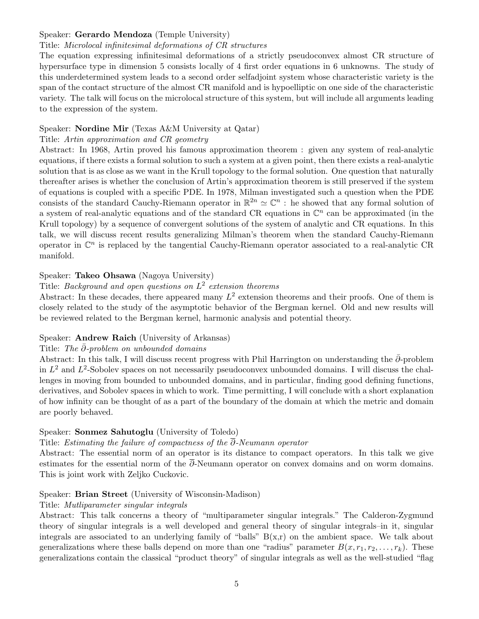# Speaker: Gerardo Mendoza (Temple University)

### Title: Microlocal infinitesimal deformations of CR structures

The equation expressing infinitesimal deformations of a strictly pseudoconvex almost CR structure of hypersurface type in dimension 5 consists locally of 4 first order equations in 6 unknowns. The study of this underdetermined system leads to a second order selfadjoint system whose characteristic variety is the span of the contact structure of the almost CR manifold and is hypoelliptic on one side of the characteristic variety. The talk will focus on the microlocal structure of this system, but will include all arguments leading to the expression of the system.

### Speaker: Nordine Mir (Texas A&M University at Qatar)

### Title: Artin approximation and CR geometry

Abstract: In 1968, Artin proved his famous approximation theorem : given any system of real-analytic equations, if there exists a formal solution to such a system at a given point, then there exists a real-analytic solution that is as close as we want in the Krull topology to the formal solution. One question that naturally thereafter arises is whether the conclusion of Artin's approximation theorem is still preserved if the system of equations is coupled with a specific PDE. In 1978, Milman investigated such a question when the PDE consists of the standard Cauchy-Riemann operator in  $\mathbb{R}^{2n} \simeq \mathbb{C}^n$ : he showed that any formal solution of a system of real-analytic equations and of the standard CR equations in  $\mathbb{C}^n$  can be approximated (in the Krull topology) by a sequence of convergent solutions of the system of analytic and CR equations. In this talk, we will discuss recent results generalizing Milman's theorem when the standard Cauchy-Riemann operator in  $\mathbb{C}^n$  is replaced by the tangential Cauchy-Riemann operator associated to a real-analytic CR manifold.

# Speaker: Takeo Ohsawa (Nagoya University)

# Title: Background and open questions on  $L^2$  extension theorems

Abstract: In these decades, there appeared many  $L^2$  extension theorems and their proofs. One of them is closely related to the study of the asymptotic behavior of the Bergman kernel. Old and new results will be reviewed related to the Bergman kernel, harmonic analysis and potential theory.

#### Speaker: Andrew Raich (University of Arkansas)

#### Title: The  $\bar{\partial}$ -problem on unbounded domains

Abstract: In this talk, I will discuss recent progress with Phil Harrington on understanding the  $\bar{\partial}$ -problem in  $L^2$  and  $L^2$ -Sobolev spaces on not necessarily pseudoconvex unbounded domains. I will discuss the challenges in moving from bounded to unbounded domains, and in particular, finding good defining functions, derivatives, and Sobolev spaces in which to work. Time permitting, I will conclude with a short explanation of how infinity can be thought of as a part of the boundary of the domain at which the metric and domain are poorly behaved.

#### Speaker: Sonmez Sahutoglu (University of Toledo)

## Title: Estimating the failure of compactness of the  $\overline{\partial}$ -Neumann operator

Abstract: The essential norm of an operator is its distance to compact operators. In this talk we give estimates for the essential norm of the  $\overline{\partial}$ -Neumann operator on convex domains and on worm domains. This is joint work with Zeljko Cuckovic.

### Speaker: Brian Street (University of Wisconsin-Madison)

#### Title: Mutliparameter singular integrals

Abstract: This talk concerns a theory of "multiparameter singular integrals." The Calderon-Zygmund theory of singular integrals is a well developed and general theory of singular integrals–in it, singular integrals are associated to an underlying family of "balls"  $B(x,r)$  on the ambient space. We talk about generalizations where these balls depend on more than one "radius" parameter  $B(x, r_1, r_2, \ldots, r_k)$ . These generalizations contain the classical "product theory" of singular integrals as well as the well-studied "flag